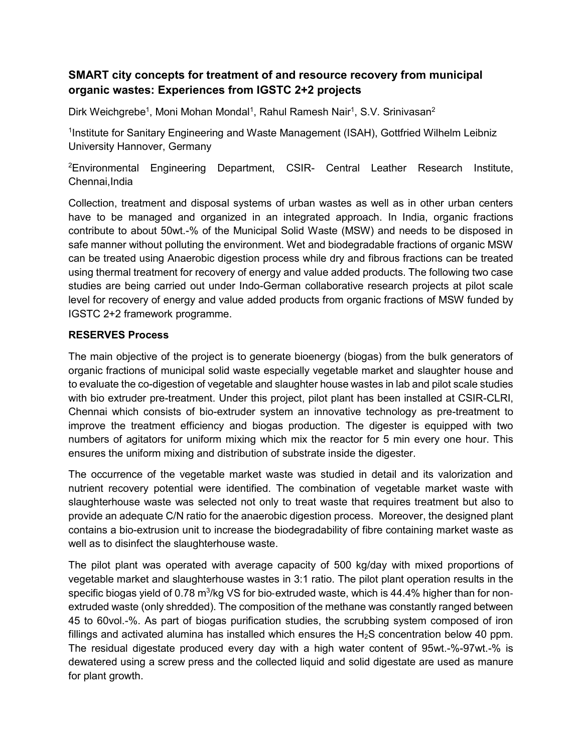## **SMART city concepts for treatment of and resource recovery from municipal organic wastes: Experiences from IGSTC 2+2 projects**

Dirk Weichgrebe<sup>1</sup>, Moni Mohan Mondal<sup>1</sup>, Rahul Ramesh Nair<sup>1</sup>, S.V. Srinivasan<sup>2</sup>

<sup>1</sup>Institute for Sanitary Engineering and Waste Management (ISAH), Gottfried Wilhelm Leibniz University Hannover, Germany

<sup>2</sup>Environmental Engineering Department, CSIR- Central Leather Research Institute, Chennai,India

Collection, treatment and disposal systems of urban wastes as well as in other urban centers have to be managed and organized in an integrated approach. In India, organic fractions contribute to about 50wt.-% of the Municipal Solid Waste (MSW) and needs to be disposed in safe manner without polluting the environment. Wet and biodegradable fractions of organic MSW can be treated using Anaerobic digestion process while dry and fibrous fractions can be treated using thermal treatment for recovery of energy and value added products. The following two case studies are being carried out under Indo-German collaborative research projects at pilot scale level for recovery of energy and value added products from organic fractions of MSW funded by IGSTC 2+2 framework programme.

## **RESERVES Process**

The main objective of the project is to generate bioenergy (biogas) from the bulk generators of organic fractions of municipal solid waste especially vegetable market and slaughter house and to evaluate the co-digestion of vegetable and slaughter house wastes in lab and pilot scale studies with bio extruder pre-treatment. Under this project, pilot plant has been installed at CSIR-CLRI, Chennai which consists of bio-extruder system an innovative technology as pre-treatment to improve the treatment efficiency and biogas production. The digester is equipped with two numbers of agitators for uniform mixing which mix the reactor for 5 min every one hour. This ensures the uniform mixing and distribution of substrate inside the digester.

The occurrence of the vegetable market waste was studied in detail and its valorization and nutrient recovery potential were identified. The combination of vegetable market waste with slaughterhouse waste was selected not only to treat waste that requires treatment but also to provide an adequate C/N ratio for the anaerobic digestion process. Moreover, the designed plant contains a bio-extrusion unit to increase the biodegradability of fibre containing market waste as well as to disinfect the slaughterhouse waste.

The pilot plant was operated with average capacity of 500 kg/day with mixed proportions of vegetable market and slaughterhouse wastes in 3:1 ratio. The pilot plant operation results in the specific biogas yield of 0.78 m<sup>3</sup>/kg VS for bio-extruded waste, which is 44.4% higher than for nonextruded waste (only shredded). The composition of the methane was constantly ranged between 45 to 60vol.-%. As part of biogas purification studies, the scrubbing system composed of iron fillings and activated alumina has installed which ensures the  $H<sub>2</sub>S$  concentration below 40 ppm. The residual digestate produced every day with a high water content of 95wt.-%-97wt.-% is dewatered using a screw press and the collected liquid and solid digestate are used as manure for plant growth.